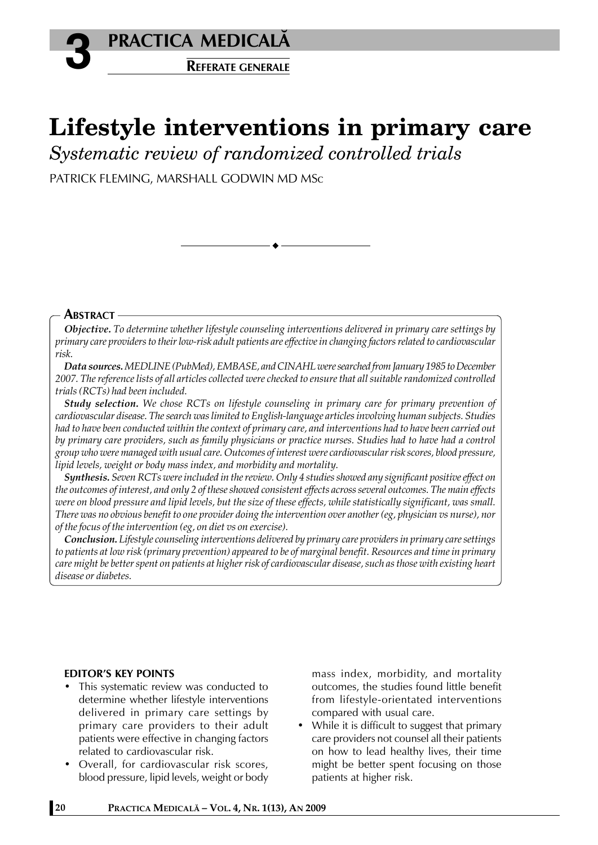

# **Lifestyle interventions in primary care**

*Systematic review of randomized controlled trials*

PATRICK FLEMING, MARSHALL GODWIN MD MSc

## **ABSTRACT**

*Objective. To determine whether lifestyle counseling interventions delivered in primary care settings by primary care providers to their low-risk adult patients are effective in changing factors related to cardiovascular risk.*

*Data sources. MEDLINE (PubMed), EMBASE, and CINAHL were searched from January 1985 to December 2007. The reference lists of all articles collected were checked to ensure that all suitable randomized controlled trials (RCTs) had been included.*

*Study selection. We chose RCTs on lifestyle counseling in primary care for primary prevention of cardiovascular disease. The search was limited to English-language articles involving human subjects. Studies had to have been conducted within the context of primary care, and interventions had to have been carried out by primary care providers, such as family physicians or practice nurses. Studies had to have had a control group who were managed with usual care. Outcomes of interest were cardiovascular risk scores, blood pressure, lipid levels, weight or body mass index, and morbidity and mortality.*

*Synthesis. Seven RCTs were included in the review. Only 4 studies showed any significant positive effect on the outcomes of interest, and only 2 of these showed consistent effects across several outcomes. The main effects were on blood pressure and lipid levels, but the size of these effects, while statistically significant, was small. There was no obvious benefit to one provider doing the intervention over another (eg, physician vs nurse), nor of the focus of the intervention (eg, on diet vs on exercise).*

*Conclusion. Lifestyle counseling interventions delivered by primary care providers in primary care settings to patients at low risk (primary prevention) appeared to be of marginal benefit. Resources and time in primary care might be better spent on patients at higher risk of cardiovascular disease, such as those with existing heart disease or diabetes.*

### **EDITOR'S KEY POINTS**

- This systematic review was conducted to determine whether lifestyle interventions delivered in primary care settings by primary care providers to their adult patients were effective in changing factors related to cardiovascular risk.
- Overall, for cardiovascular risk scores, blood pressure, lipid levels, weight or body

mass index, morbidity, and mortality outcomes, the studies found little benefit from lifestyle-orientated interventions compared with usual care.

• While it is difficult to suggest that primary care providers not counsel all their patients on how to lead healthy lives, their time might be better spent focusing on those patients at higher risk.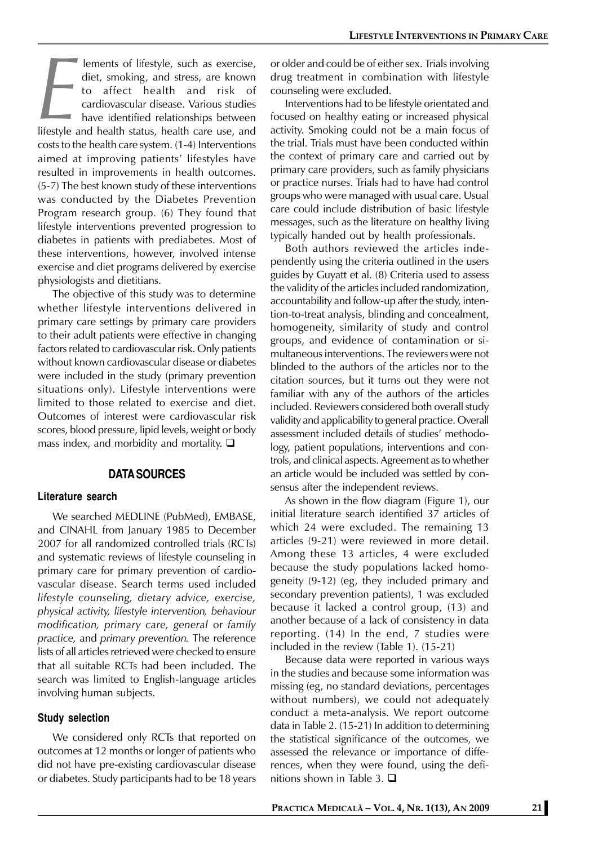**EXECUTE:** lements of lifestyle, such as exercise,<br>diet, smoking, and stress, are known<br>to affect health and risk of<br>cardiovascular disease. Various studies<br>have identified relationships between<br>lifestyle and health status diet, smoking, and stress, are known to affect health and risk of cardiovascular disease. Various studies have identified relationships between costs to the health care system. (1-4) Interventions aimed at improving patients' lifestyles have resulted in improvements in health outcomes. (5-7) The best known study of these interventions was conducted by the Diabetes Prevention Program research group. (6) They found that lifestyle interventions prevented progression to diabetes in patients with prediabetes. Most of these interventions, however, involved intense exercise and diet programs delivered by exercise physiologists and dietitians.

The objective of this study was to determine whether lifestyle interventions delivered in primary care settings by primary care providers to their adult patients were effective in changing factors related to cardiovascular risk. Only patients without known cardiovascular disease or diabetes were included in the study (primary prevention situations only). Lifestyle interventions were limited to those related to exercise and diet. Outcomes of interest were cardiovascular risk scores, blood pressure, lipid levels, weight or body mass index, and morbidity and mortality.  $\square$ 

## **DATA SOURCES**

#### **Literature search**

We searched MEDLINE (PubMed), EMBASE, and CINAHL from January 1985 to December 2007 for all randomized controlled trials (RCTs) and systematic reviews of lifestyle counseling in primary care for primary prevention of cardiovascular disease. Search terms used included *lifestyle counseling, dietary advice, exercise, physical activity, lifestyle intervention, behaviour modification, primary care, general* or *family practice,* and *primary prevention.* The reference lists of all articles retrieved were checked to ensure that all suitable RCTs had been included. The search was limited to English-language articles involving human subjects.

#### **Study selection**

We considered only RCTs that reported on outcomes at 12 months or longer of patients who did not have pre-existing cardiovascular disease or diabetes. Study participants had to be 18 years or older and could be of either sex. Trials involving drug treatment in combination with lifestyle counseling were excluded.

Interventions had to be lifestyle orientated and focused on healthy eating or increased physical activity. Smoking could not be a main focus of the trial. Trials must have been conducted within the context of primary care and carried out by primary care providers, such as family physicians or practice nurses. Trials had to have had control groups who were managed with usual care. Usual care could include distribution of basic lifestyle messages, such as the literature on healthy living typically handed out by health professionals.

Both authors reviewed the articles independently using the criteria outlined in the users guides by Guyatt et al. (8) Criteria used to assess the validity of the articles included randomization, accountability and follow-up after the study, intention-to-treat analysis, blinding and concealment, homogeneity, similarity of study and control groups, and evidence of contamination or simultaneous interventions. The reviewers were not blinded to the authors of the articles nor to the citation sources, but it turns out they were not familiar with any of the authors of the articles included. Reviewers considered both overall study validity and applicability to general practice. Overall assessment included details of studies' methodology, patient populations, interventions and controls, and clinical aspects. Agreement as to whether an article would be included was settled by consensus after the independent reviews.

As shown in the flow diagram (Figure 1), our initial literature search identified 37 articles of which 24 were excluded. The remaining 13 articles (9-21) were reviewed in more detail. Among these 13 articles, 4 were excluded because the study populations lacked homogeneity (9-12) (eg, they included primary and secondary prevention patients), 1 was excluded because it lacked a control group, (13) and another because of a lack of consistency in data reporting. (14) In the end, 7 studies were included in the review (Table 1). (15-21)

Because data were reported in various ways in the studies and because some information was missing (eg, no standard deviations, percentages without numbers), we could not adequately conduct a meta-analysis. We report outcome data in Table 2. (15-21) In addition to determining the statistical significance of the outcomes, we assessed the relevance or importance of differences, when they were found, using the definitions shown in Table  $3 \square$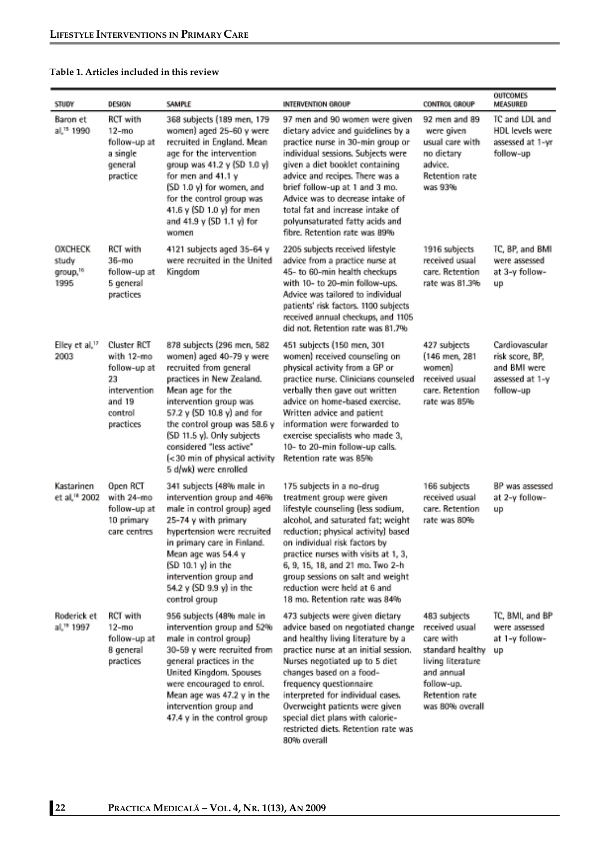### **Table 1. Articles included in this review**

| STUDY                                            | DESIGN                                                                                                   | SAMPLE                                                                                                                                                                                                                                                                                                                                        | INTERVENTION GROUP                                                                                                                                                                                                                                                                                                                                                                                             | CONTROL GROUP                                                                                                                                         | <b>OUTCOMES</b><br>MEASURED                                                       |
|--------------------------------------------------|----------------------------------------------------------------------------------------------------------|-----------------------------------------------------------------------------------------------------------------------------------------------------------------------------------------------------------------------------------------------------------------------------------------------------------------------------------------------|----------------------------------------------------------------------------------------------------------------------------------------------------------------------------------------------------------------------------------------------------------------------------------------------------------------------------------------------------------------------------------------------------------------|-------------------------------------------------------------------------------------------------------------------------------------------------------|-----------------------------------------------------------------------------------|
| Baron et<br>al, <sup>15</sup> 1990               | <b>RCT</b> with<br>$12-mo$<br>follow-up at<br>a single<br>general<br>practice                            | 368 subjects (189 men, 179<br>women) aged 25-60 y were<br>recruited in England. Mean<br>age for the intervention<br>group was 41.2 y (SD 1.0 y)<br>for men and 41.1 y<br>(SD 1.0 y) for women, and<br>for the control group was<br>41.6 y (SD 1.0 y) for men<br>and 41.9 y (SD 1.1 y) for<br>women                                            | 97 men and 90 women were given<br>dictary advice and guidelines by a<br>practice nurse in 30-min group or<br>individual sessions. Subjects were<br>given a diet booklet containing<br>advice and recipes. There was a<br>brief follow-up at 1 and 3 mo.<br>Advice was to decrease intake of<br>total fat and increase intake of<br>polyunsaturated fatty acids and<br>fibre. Retention rate was 89%            | 92 men and 89<br>were given<br>usual care with<br>no dictary<br>advice.<br><b>Retention rate</b><br>was 93%                                           | TC and LDL and<br>HDL levels were<br>assessed at 1-yr<br>follow-up                |
| OXCHECK<br>study<br>group, <sup>16</sup><br>1995 | <b>RCT</b> with<br>$36-mo$<br>follow-up at<br>5 general<br>practices                                     | 4121 subjects aged 35-64 y<br>were recruited in the United<br>Kingdom                                                                                                                                                                                                                                                                         | 2205 subjects received lifestyle<br>advice from a practice nurse at<br>45- to 60-min health checkups<br>with 10- to 20-min follow-ups.<br>Advice was tailored to individual<br>patients' risk factors. 1100 subjects<br>received annual checkups, and 1105<br>did not. Retention rate was 81.7%                                                                                                                | 1916 subjects<br>received usual<br>care. Retention<br>rate was 81.3%                                                                                  | TC, BP, and BMI<br>were assessed<br>at 3-y follow-<br>up                          |
| Elley et al, <sup>17</sup><br>2003               | <b>Cluster RCT</b><br>with 12-mo<br>follow-up at<br>23<br>intervention<br>and 19<br>control<br>practices | 878 subjects (296 men, 582<br>women) aged 40-79 y were<br>recruited from general<br>practices in New Zealand.<br>Mean age for the<br>intervention group was<br>57.2 y (SD 10.8 y) and for<br>the control group was 58.6 y<br>(SD 11.5 y). Only subjects<br>considered "less active"<br>(<30 min of physical activity<br>5 d/wk) were enrolled | 451 subjects (150 men, 301<br>women) received counseling on<br>physical activity from a GP or<br>practice nurse. Clinicians counseled<br>verbally then gave out written<br>advice on home-based exercise.<br>Written advice and patient<br>information were forwarded to<br>exercise specialists who made 3,<br>10- to 20-min follow-up calls.<br>Retention rate was 85%                                       | 427 subjects<br>(146 men, 281<br>women)<br>received usual<br>care. Retention<br>rate was 85%                                                          | Cardiovascular<br>risk score, BP,<br>and BMI were<br>assessed at 1-y<br>follow-up |
| Kastarinen<br>et al. <sup>18</sup> 2002          | Open RCT<br>with 24-mo<br>follow-up at<br>10 primary<br>care centres                                     | 341 subjects (48% male in<br>intervention group and 46%<br>male in control group) aged<br>25-74 y with primary<br>hypertension were recruited<br>in primary care in Finland.<br>Mean age was 54.4 y<br>$(SD 10.1 y)$ in the<br>intervention group and<br>54.2 y (SD 9.9 y) in the<br>control group                                            | 175 subjects in a no-drug<br>treatment group were given<br>lifestyle counseling (less sodium,<br>alcohol, and saturated fat; weight<br>reduction; physical activity) based<br>on individual risk factors by<br>practice nurses with visits at 1, 3,<br>6, 9, 15, 18, and 21 mo. Two 2-h<br>group sessions on salt and weight<br>reduction were held at 6 and<br>18 mo. Retention rate was 84%                  | 166 subjects<br>received usual<br>care. Retention<br>rate was 80%                                                                                     | BP was assessed<br>at 2-y follow-<br>up                                           |
| Roderick et<br>al, <sup>19</sup> 1997            | RCT with<br>$12 - mo$<br>follow-up at<br>8 general<br>practices                                          | 956 subjects (48% male in<br>intervention group and 52%<br>male in control group)<br>30-59 y were recruited from<br>general practices in the<br>United Kingdom. Spouses<br>were encouraged to enrol.<br>Mean age was 47.2 y in the<br>intervention group and<br>47.4 y in the control group                                                   | 473 subjects were given dietary<br>advice based on negotiated change<br>and healthy living literature by a<br>practice nurse at an initial session.<br>Nurses negotiated up to 5 diet<br>changes based on a food-<br>frequency questionnaire<br>interpreted for individual cases.<br>Overweight patients were given<br>special diet plans with calorie-<br>restricted diets. Retention rate was<br>80% overall | 483 subjects<br>received usual<br>care with<br>standard healthy<br>living literature<br>and annual<br>follow-up.<br>Retention rate<br>was 80% overall | TC, BMI, and BP<br>were assessed<br>at 1-y follow-<br>up                          |

**22 PRACTICA MEDICALÅ – VOL. 4, NR. 1(13), AN 2009**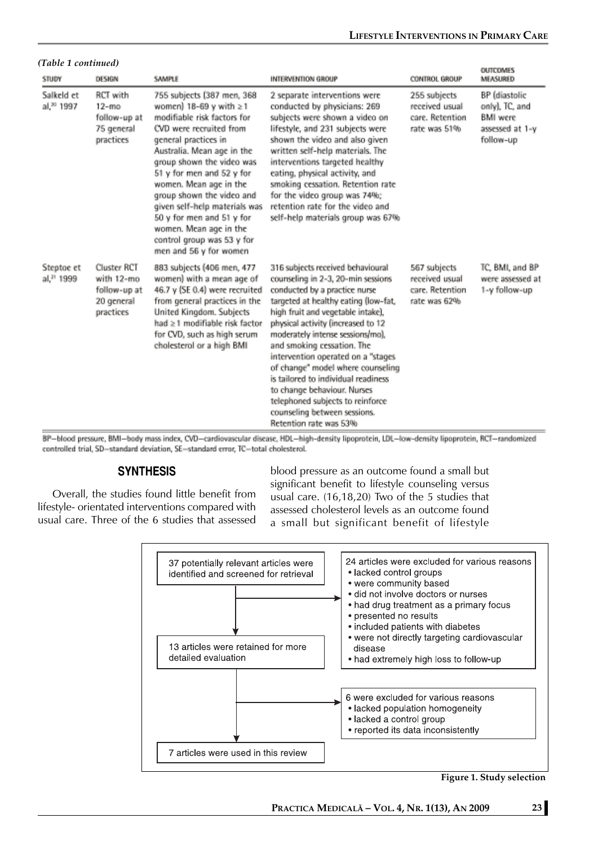| STUDY                                | DESIGN                                                               | SAMPLE                                                                                                                                                                                                                                                                                                                                                                                                                                      | INTERVENTION GROUP                                                                                                                                                                                                                                                                                                                                                                                                                                                                                                                           | <b>CONTROL GROUP</b>                                              | <b>OUTCOMES</b><br>MEASURED                                                        |
|--------------------------------------|----------------------------------------------------------------------|---------------------------------------------------------------------------------------------------------------------------------------------------------------------------------------------------------------------------------------------------------------------------------------------------------------------------------------------------------------------------------------------------------------------------------------------|----------------------------------------------------------------------------------------------------------------------------------------------------------------------------------------------------------------------------------------------------------------------------------------------------------------------------------------------------------------------------------------------------------------------------------------------------------------------------------------------------------------------------------------------|-------------------------------------------------------------------|------------------------------------------------------------------------------------|
| Salkeld et<br>al, <sup>20</sup> 1997 | RCT with<br>$12 - m0$<br>follow-up at<br>75 general<br>practices     | 755 subjects (387 men, 368<br>women) 18-69 y with $\geq 1$<br>modifiable risk factors for<br>CVD were recruited from<br>general practices in<br>Australia. Mean age in the<br>group shown the video was<br>51 y for men and 52 y for<br>women. Mean age in the<br>group shown the video and<br>given self-help materials was<br>50 y for men and 51 y for<br>women. Mean age in the<br>control group was 53 y for<br>men and 56 y for women | 2 separate interventions were<br>conducted by physicians: 269<br>subjects were shown a video on<br>lifestyle, and 231 subjects were<br>shown the video and also given<br>written self-help materials. The<br>interventions targeted healthy<br>eating, physical activity, and<br>smoking cessation. Retention rate<br>for the video group was 74%;<br>retention rate for the video and<br>self-help materials group was 67%                                                                                                                  | 255 subjects<br>received usual<br>care. Retention<br>rate was 51% | BP (diastolic<br>only), TC, and<br><b>BMI</b> were<br>assessed at 1-y<br>follow-up |
| Steptoe et<br>al, <sup>21</sup> 1999 | Cluster RCT<br>with 12-mo<br>follow-up at<br>20 general<br>practices | 883 subjects (406 men, 477<br>women) with a mean age of<br>46.7 y (SE 0.4) were recruited<br>from general practices in the<br>United Kingdom. Subjects<br>had $\geq$ 1 modifiable risk factor<br>for CVD, such as high serum<br>cholesterol or a high BMI                                                                                                                                                                                   | 316 subjects received behavioural<br>counseling in 2-3, 20-min sessions<br>conducted by a practice nurse<br>targeted at healthy eating (low-fat,<br>high fruit and vegetable intake),<br>physical activity (increased to 12<br>moderately intense sessions/mo),<br>and smoking cessation. The<br>intervention operated on a "stages<br>of change" model where counseling<br>is tailored to individual readiness<br>to change behaviour. Nurses<br>telephoned subjects to reinforce<br>counseling between sessions.<br>Retention rate was 53% | 567 subjects<br>received usual<br>care, Retention<br>rate was 62% | TC, BMI, and BP<br>were assessed at<br>1-y follow-up                               |

BP-blood pressure, BMI-body mass index, CVD-cardiovascular disease, HDL-high-density lipoprotein, LDL-low-density lipoprotein, RCT-randomized controlled trial, SD-standard deviation, SE-standard error, TC-total cholesterol.

## **SYNTHESIS**

Overall, the studies found little benefit from lifestyle- orientated interventions compared with usual care. Three of the 6 studies that assessed blood pressure as an outcome found a small but significant benefit to lifestyle counseling versus usual care. (16,18,20) Two of the 5 studies that assessed cholesterol levels as an outcome found a small but significant benefit of lifestyle



**Figure 1. Study selection**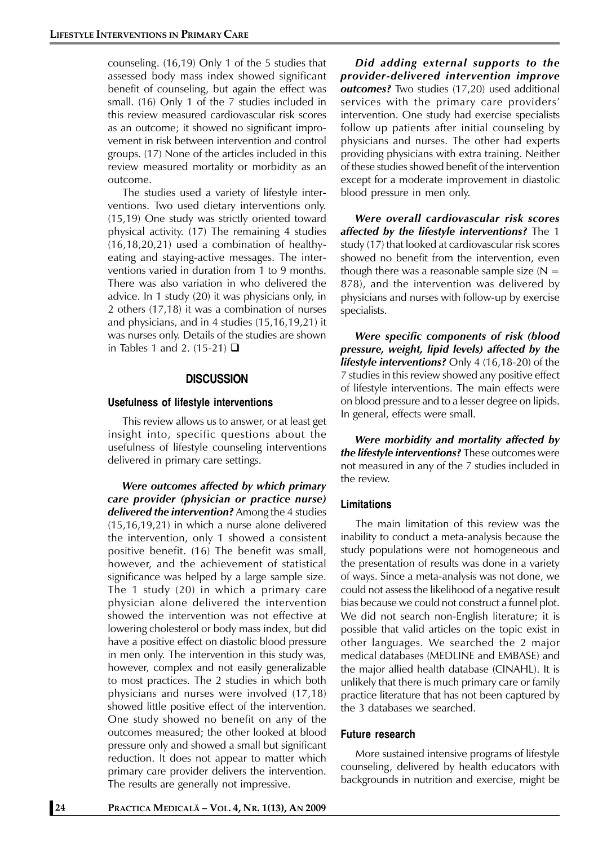counseling. (16,19) Only 1 of the 5 studies that assessed body mass index showed significant benefit of counseling, but again the effect was small. (16) Only 1 of the 7 studies included in this review measured cardiovascular risk scores as an outcome; it showed no significant improvement in risk between intervention and control groups. (17) None of the articles included in this review measured mortality or morbidity as an outcome.

The studies used a variety of lifestyle interventions. Two used dietary interventions only. (15,19) One study was strictly oriented toward physical activity. (17) The remaining 4 studies (16,18,20,21) used a combination of healthyeating and staying-active messages. The interventions varied in duration from 1 to 9 months. There was also variation in who delivered the advice. In 1 study (20) it was physicians only, in 2 others (17,18) it was a combination of nurses and physicians, and in 4 studies (15,16,19,21) it was nurses only. Details of the studies are shown in Tables 1 and 2. (15-21)  $\Box$ 

#### **DISCUSSION**

#### **Usefulness of lifestyle interventions**

This review allows us to answer, or at least get insight into, specific questions about the usefulness of lifestyle counseling interventions delivered in primary care settings.

*Were outcomes affected by which primary care provider (physician or practice nurse) delivered the intervention?* Among the 4 studies (15,16,19,21) in which a nurse alone delivered the intervention, only 1 showed a consistent positive benefit. (16) The benefit was small, however, and the achievement of statistical significance was helped by a large sample size. The 1 study (20) in which a primary care physician alone delivered the intervention showed the intervention was not effective at lowering cholesterol or body mass index, but did have a positive effect on diastolic blood pressure in men only. The intervention in this study was, however, complex and not easily generalizable to most practices. The 2 studies in which both physicians and nurses were involved (17,18) showed little positive effect of the intervention. One study showed no benefit on any of the outcomes measured; the other looked at blood pressure only and showed a small but significant reduction. It does not appear to matter which primary care provider delivers the intervention. The results are generally not impressive.

*Did adding external supports to the provider-delivered intervention improve outcomes?* Two studies (17,20) used additional services with the primary care providers' intervention. One study had exercise specialists follow up patients after initial counseling by physicians and nurses. The other had experts providing physicians with extra training. Neither of these studies showed benefit of the intervention except for a moderate improvement in diastolic blood pressure in men only.

*Were overall cardiovascular risk scores affected by the lifestyle interventions?* The 1 study (17) that looked at cardiovascular risk scores showed no benefit from the intervention, even though there was a reasonable sample size  $(N =$ 878), and the intervention was delivered by physicians and nurses with follow-up by exercise specialists.

*Were specific components of risk (blood pressure, weight, lipid levels) affected by the lifestyle interventions?* Only 4 (16,18-20) of the 7 studies in this review showed any positive effect of lifestyle interventions. The main effects were on blood pressure and to a lesser degree on lipids. In general, effects were small.

*Were morbidity and mortality affected by the lifestyle interventions?* These outcomes were not measured in any of the 7 studies included in the review.

#### **Limitations**

The main limitation of this review was the inability to conduct a meta-analysis because the study populations were not homogeneous and the presentation of results was done in a variety of ways. Since a meta-analysis was not done, we could not assess the likelihood of a negative result bias because we could not construct a funnel plot. We did not search non-English literature; it is possible that valid articles on the topic exist in other languages. We searched the 2 major medical databases (MEDLINE and EMBASE) and the major allied health database (CINAHL). It is unlikely that there is much primary care or family practice literature that has not been captured by the 3 databases we searched.

#### **Future research**

More sustained intensive programs of lifestyle counseling, delivered by health educators with backgrounds in nutrition and exercise, might be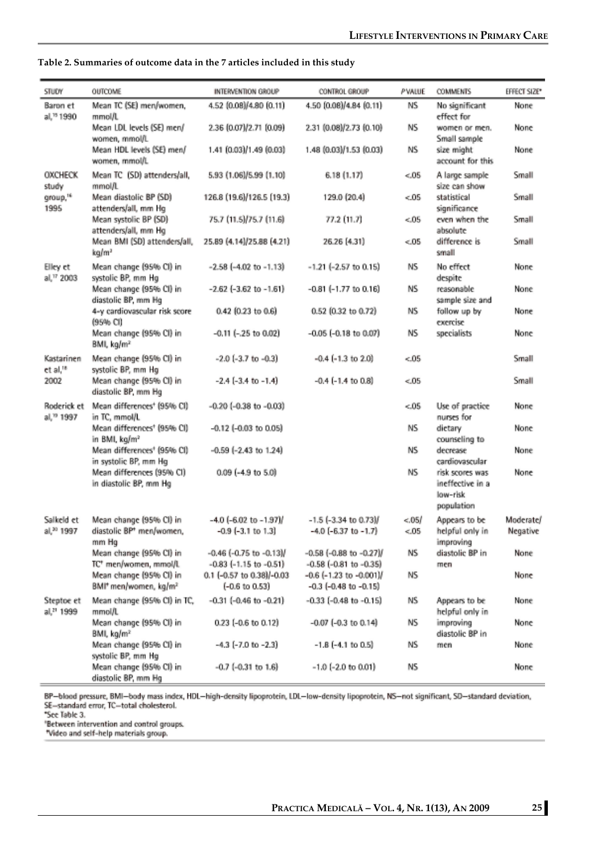#### **Table 2. Summaries of outcome data in the 7 articles included in this study**

| STUDY                                 | <b>OUTCOME</b>                                                           | INTERVENTION GROUP                                     | CONTROL GROUP                                            | <b>PVALUE</b>  | <b>COMMENTS</b>                                               | EFFECT SIZE*          |
|---------------------------------------|--------------------------------------------------------------------------|--------------------------------------------------------|----------------------------------------------------------|----------------|---------------------------------------------------------------|-----------------------|
| Baron et<br>al, <sup>15</sup> 1990    | Mean TC (SE) men/women,<br>mmol/L                                        | 4.52 (0.08)/4.80 (0.11)                                | 4.50 [0.08]/4.84 (0.11)                                  | NS.            | No significant<br>effect for                                  | None                  |
|                                       | Mean LDL levels (SE) men/<br>women, mmol/L                               | 2.36 (0.07)/2.71 (0.09)                                | 2.31 (0.08)/2.73 (0.10)                                  | NS.            | women or men.<br>Small sample                                 | None                  |
|                                       | Mean HDL levels (SE) men/<br>women, mmol/L                               | 1.41 (0.03)/1.49 (0.03)                                | 1.48 (0.03)/1.53 (0.03)                                  | NS             | size might<br>account for this                                | None                  |
| <b>OXCHECK</b><br>study               | Mean TC (SD) attenders/all,<br>mmol/L                                    | 5.93 (1.06)/5.99 (1.10)                                | 6.18(1.17)                                               | < 05           | A large sample<br>size can show                               | Small                 |
| group, <sup>16</sup><br>1995          | Mean diastolic BP (SD)<br>attenders/all, mm Hg                           | 126.8 (19.6)/126.5 (19.3)                              | 129.0 (20.4)                                             | < 05           | statistical<br>significance                                   | Small                 |
|                                       | Mean systolic BP (SD)<br>attenders/all, mm Hg                            | 75.7 (11.5)/75.7 (11.6)                                | 77.2 (11.7)                                              | < 05           | even when the<br>absolute                                     | Small                 |
|                                       | Mean BMI (SD) attenders/all,<br>kg/m <sup>2</sup>                        | 25.89 (4.14)/25.88 (4.21)                              | 26.26 (4.31)                                             | < 05           | difference is<br>small                                        | Small                 |
| Elley et<br>al, <sup>17</sup> 2003    | Mean change (95% CI) in<br>systolic BP, mm Hg                            | $-2.58$ ( $-4.02$ to $-1.13$ )                         | $-1.21$ (-2.57 to 0.15)                                  | NS.            | No effect<br>despite                                          | None                  |
|                                       | Mean change (95% CI) in<br>diastolic BP, mm Hq                           | $-2.62$ $(-3.62$ to $-1.61)$                           | $-0.81$ ( $-1.77$ to $0.16$ )                            | NS             | reasonable<br>sample size and                                 | None                  |
|                                       | 4-y cardiovascular risk score<br>(95% CI)                                | 0.42 (0.23 to 0.6)                                     | 0.52 (0.32 to 0.72)                                      | NS.            | follow up by<br>exercise                                      | None                  |
|                                       | Mean change (95% CI) in<br>BMI, kg/m <sup>2</sup>                        | $-0.11$ $(-.25$ to $0.02)$                             | $-0.05$ $(-0.18$ to $0.07)$                              | NS             | specialists                                                   | None                  |
| Kastarinen<br>et al, <sup>18</sup>    | Mean change (95% CI) in<br>systolic BP, mm Hg                            | $-2.0$ $(-3.7$ to $-0.3)$                              | $-0.4$ $(-1.3$ to $2.0)$                                 | < 05           |                                                               | Small                 |
| 2002                                  | Mean change (95% CI) in<br>diastolic BP, mm Hg                           | $-2.4$ $(-3.4$ to $-1.4)$                              | $-0.4$ $(-1.4$ to 0.8)                                   | < 05           |                                                               | Small                 |
| Roderick et<br>al, <sup>19</sup> 1997 | Mean differences <sup>+</sup> (95% CI)<br>in TC, mmol/L                  | $-0.20$ ( $-0.38$ to $-0.03$ )                         |                                                          | < 05           | Use of practice<br>nurses for                                 | None                  |
|                                       | Mean differences <sup>+</sup> (95% CI)<br>in BMI, kg/m <sup>2</sup>      | $-0.12$ $(-0.03$ to $0.05)$                            |                                                          | ΝS             | dictary<br>counseling to                                      | None                  |
|                                       | Mean differences <sup>+</sup> (95% CI)<br>in systolic BP, mm Hg          | $-0.59$ $(-2.43$ to $1.24)$                            |                                                          | NS             | decrease<br>cardiovascular                                    | None                  |
|                                       | Mean differences (95% CI)<br>in diastolic BP, mm Hg                      | $0.09$ $[-4.9$ to $5.0]$                               |                                                          | NS.            | risk scores was<br>ineffective in a<br>low-risk<br>population | None                  |
| Salkeld et<br>al, 20 1997             | Mean change (95% CI) in<br>diastolic BP <sup>+</sup> men/women.          | -4.0 (-6.02 to -1.97)/<br>$-0.9$ $(-3.1$ to $1.3)$     | $-1.5$ (-3.34 to 0.73)/<br>$-4.0$ [ $-6.37$ to $-1.7$ ]  | < .05/<br>< 05 | Appears to be<br>helpful only in                              | Moderate/<br>Negative |
|                                       | mm Hg<br>Mean change (95% CI) in                                         | $-0.46$ ( $-0.75$ to $-0.13$ )                         | $-0.58$ ( $-0.88$ to $-0.27$ )/                          | NS.            | improving<br>diastolic BP in                                  | None                  |
|                                       | TC* men/women, mmol/L                                                    | $-0.83$ $(-1.15$ to $-0.51)$                           | $-0.58$ ( $-0.81$ to $-0.35$ )                           |                | men                                                           |                       |
|                                       | Mean change (95% CI) in<br>BMI <sup>+</sup> men/women, kg/m <sup>2</sup> | 0.1 (-0.57 to 0.38)/-0.03<br>$(-0.6 \text{ to } 0.53)$ | $-0.6$ (-1.23 to -0.001)/<br>$-0.3$ $(-0.48$ to $-0.15)$ | NS.            |                                                               | None                  |
| Steptoe et<br>al. <sup>21</sup> 1999  | Mean change (95% CI) in TC,<br>mmol/L                                    | $-0.31$ ( $-0.46$ to $-0.21$ )                         | $-0.33$ $(-0.48$ to $-0.15)$                             | NS.            | Appears to be<br>helpful only in                              | None                  |
|                                       | Mean change (95% CI) in<br>BMI, kg/m <sup>2</sup>                        | 0.23 [-0.6 to 0.12)                                    | $-0.07$ $(-0.3$ to 0.14)                                 | ΝS             | improving<br>diastolic BP in                                  | None                  |
|                                       | Mean change (95% CI) in<br>systolic BP, mm Hg                            | $-4.3$ $[-7.0$ to $-2.3)$                              | $-1.8$ $(-4.1$ to 0.5)                                   | ΝS             | men                                                           | None                  |
|                                       | Mean change (95% CI) in<br>diastolic BP, mm Hg                           | $-0.7$ $(-0.31$ to $1.6)$                              | $-1.0$ ( $-2.0$ to 0.01)                                 | NS.            |                                                               | None                  |

BP–blood pressure, BMI–body mass index, HDL–high-density lipoprotein, LDL–low-density lipoprotein, NS–not significant, SD–standard deviation,<br>SE–standard error, TC–total cholesterol.<br>"See Table 3.

"Between intervention and control groups.

\*Video and self-help materials group.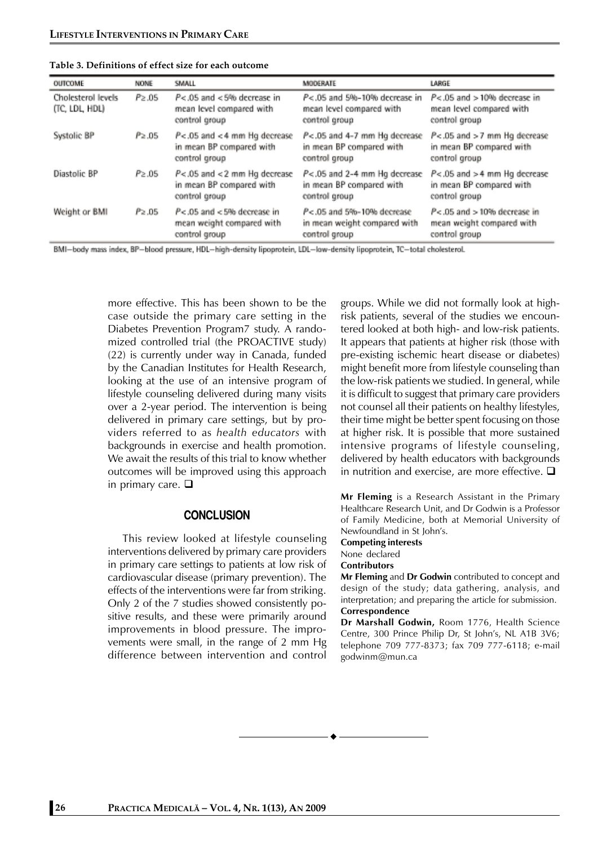| OUTCOME                              | <b>NONE</b> | SMALL                                                                         | MODERATE                                                                      | LARGE                                                                          |
|--------------------------------------|-------------|-------------------------------------------------------------------------------|-------------------------------------------------------------------------------|--------------------------------------------------------------------------------|
| Cholesterol levels<br>(TC, LDL, HDL) | P > .05     | $P$ < .05 and < 5% decrease in<br>mean level compared with<br>control group   | $P<.05$ and $5%-10%$ decrease in<br>mean level compared with<br>control group | $P$ < .05 and $> 10%$ decrease in<br>mean level compared with<br>control group |
| Systolic BP                          | P > .05     | $P$ < .05 and < 4 mm Hq decrease<br>in mean BP compared with<br>control group | $P<.05$ and 4-7 mm Hg decrease<br>in mean BP compared with<br>control group   | $P<.05$ and $>7$ mm Hg decrease<br>in mean BP compared with<br>control group   |
| Diastolic BP                         | P > .05     | $P$ < .05 and < 2 mm Hg decrease<br>in mean BP compared with<br>control group | $P$ < .05 and 2-4 mm Hg decrease<br>in mean BP compared with<br>control group | $P$ < 0.05 and > 4 mm Hg decrease<br>in mean BP compared with<br>control group |
| Weight or BMI                        | $P \ge .05$ | $P$ <.05 and <5% decrease in<br>mean weight compared with<br>control group    | P<.05 and 5%-10% decrease<br>in mean weight compared with<br>control group    | $P<.05$ and $>10%$ decrease in<br>mean weight compared with<br>control group   |

|--|

BMI-body mass index, BP-blood pressure, HDL-high-density lipoprotein, LDL-low-density lipoprotein, TC-total cholesterol.

more effective. This has been shown to be the case outside the primary care setting in the Diabetes Prevention Program7 study. A randomized controlled trial (the PROACTIVE study) (22) is currently under way in Canada, funded by the Canadian Institutes for Health Research, looking at the use of an intensive program of lifestyle counseling delivered during many visits over a 2-year period. The intervention is being delivered in primary care settings, but by providers referred to as *health educators* with backgrounds in exercise and health promotion. We await the results of this trial to know whether outcomes will be improved using this approach in primary care.  $\Box$ 

### **CONCLUSION**

This review looked at lifestyle counseling interventions delivered by primary care providers in primary care settings to patients at low risk of cardiovascular disease (primary prevention). The effects of the interventions were far from striking. Only 2 of the 7 studies showed consistently positive results, and these were primarily around improvements in blood pressure. The improvements were small, in the range of 2 mm Hg difference between intervention and control

groups. While we did not formally look at highrisk patients, several of the studies we encountered looked at both high- and low-risk patients. It appears that patients at higher risk (those with pre-existing ischemic heart disease or diabetes) might benefit more from lifestyle counseling than the low-risk patients we studied. In general, while it is difficult to suggest that primary care providers not counsel all their patients on healthy lifestyles, their time might be better spent focusing on those at higher risk. It is possible that more sustained intensive programs of lifestyle counseling, delivered by health educators with backgrounds in nutrition and exercise, are more effective.  $\square$ 

**Mr Fleming** is a Research Assistant in the Primary Healthcare Research Unit, and Dr Godwin is a Professor of Family Medicine, both at Memorial University of Newfoundland in St John's.

**Competing interests** None declared **Contributors**

**Mr Fleming** and **Dr Godwin** contributed to concept and design of the study; data gathering, analysis, and interpretation; and preparing the article for submission. **Correspondence**

**Dr Marshall Godwin,** Room 1776, Health Science Centre, 300 Prince Philip Dr, St John's, NL A1B 3V6; telephone 709 777-8373; fax 709 777-6118; e-mail godwinm@mun.ca